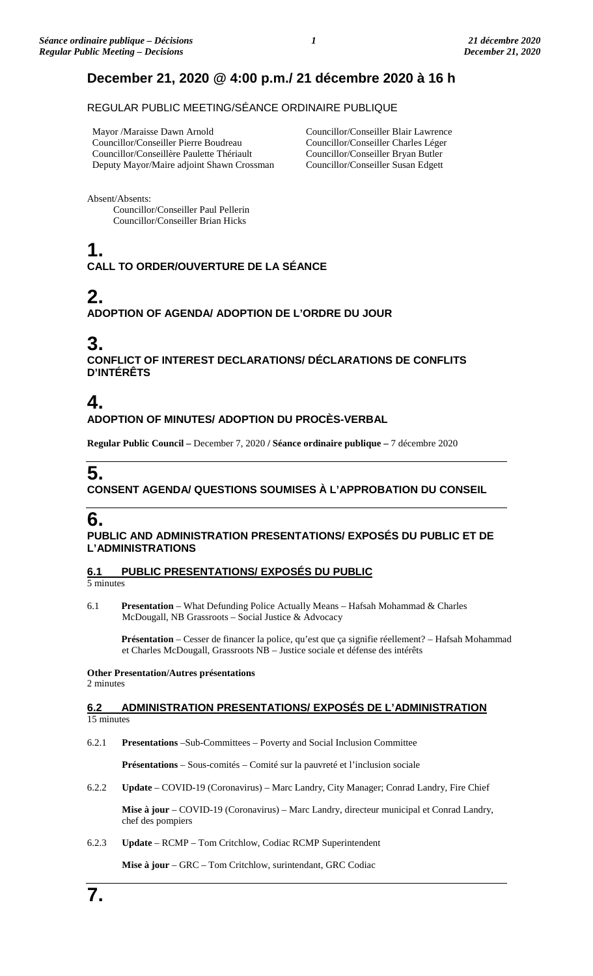# **December 21, 2020 @ 4:00 p.m./ 21 décembre 2020 à 16 h**

### REGULAR PUBLIC MEETING/SÉANCE ORDINAIRE PUBLIQUE

Mayor /Maraisse Dawn Arnold Councillor/Conseiller Pierre Boudreau Councillor/Conseillère Paulette Thériault Deputy Mayor/Maire adjoint Shawn Crossman

Councillor/Conseiller Blair Lawrence Councillor/Conseiller Charles Léger Councillor/Conseiller Bryan Butler Councillor/Conseiller Susan Edgett

Absent/Absents:

Councillor/Conseiller Paul Pellerin Councillor/Conseiller Brian Hicks

# **1. CALL TO ORDER/OUVERTURE DE LA SÉANCE**

# **2.**

**ADOPTION OF AGENDA/ ADOPTION DE L'ORDRE DU JOUR**

# **3.**

**CONFLICT OF INTEREST DECLARATIONS/ DÉCLARATIONS DE CONFLITS D'INTÉRÊTS**

# **4.**

### **ADOPTION OF MINUTES/ ADOPTION DU PROCÈS-VERBAL**

**Regular Public Council –** December 7, 2020 **/ Séance ordinaire publique –** 7 décembre 2020

# **5.**

### **CONSENT AGENDA/ QUESTIONS SOUMISES À L'APPROBATION DU CONSEIL**

# **6.**

**PUBLIC AND ADMINISTRATION PRESENTATIONS/ EXPOSÉS DU PUBLIC ET DE L'ADMINISTRATIONS**

**6.1 PUBLIC PRESENTATIONS/ EXPOSÉS DU PUBLIC**

5 minutes

6.1 **Presentation** – What Defunding Police Actually Means – Hafsah Mohammad & Charles McDougall, NB Grassroots – Social Justice & Advocacy

Présentation – Cesser de financer la police, qu'est que ça signifie réellement? – Hafsah Mohammad et Charles McDougall, Grassroots NB – Justice sociale et défense des intérêts

**Other Presentation/Autres présentations** 2 minutes

#### **6.2 ADMINISTRATION PRESENTATIONS/ EXPOSÉS DE L'ADMINISTRATION** 15 minutes

6.2.1 **Presentations** –Sub-Committees – Poverty and Social Inclusion Committee

**Présentations** – Sous-comités – Comité sur la pauvreté et l'inclusion sociale

6.2.2 **Update** – COVID-19 (Coronavirus) – Marc Landry, City Manager; Conrad Landry, Fire Chief

**Mise à jour** – COVID-19 (Coronavirus) – Marc Landry, directeur municipal et Conrad Landry, chef des pompiers

6.2.3 **Update** – RCMP – Tom Critchlow, Codiac RCMP Superintendent

**Mise à jour** – GRC – Tom Critchlow, surintendant, GRC Codiac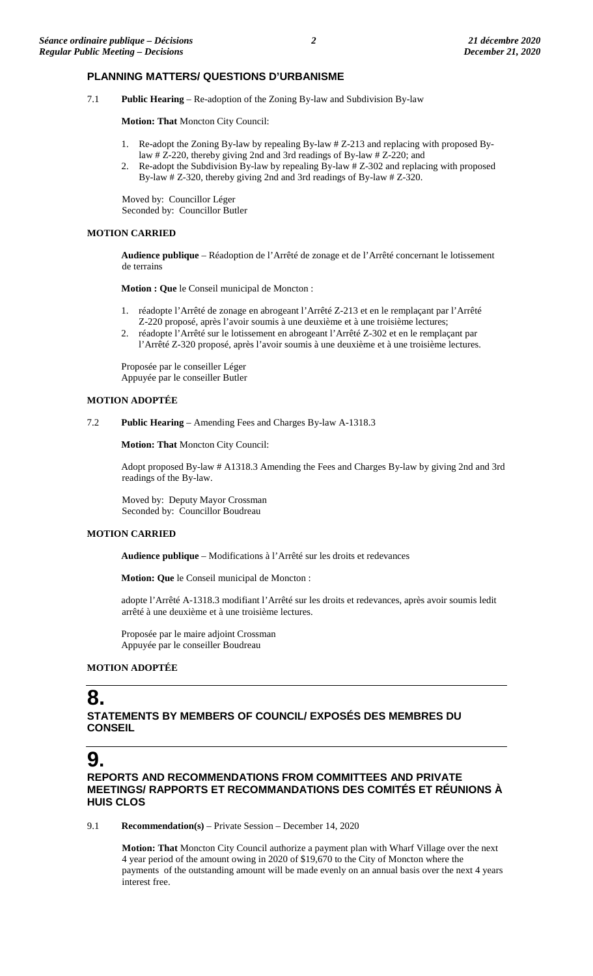#### **PLANNING MATTERS/ QUESTIONS D'URBANISME**

7.1 **Public Hearing** – Re-adoption of the Zoning By-law and Subdivision By-law

**Motion: That** Moncton City Council:

- 1. Re-adopt the Zoning By-law by repealing By-law # Z-213 and replacing with proposed Bylaw # Z-220, thereby giving 2nd and 3rd readings of By-law # Z-220; and
- 2. Re-adopt the Subdivision By-law by repealing By-law # Z-302 and replacing with proposed By-law # Z-320, thereby giving 2nd and 3rd readings of By-law # Z-320.

Moved by: Councillor Léger Seconded by: Councillor Butler

#### **MOTION CARRIED**

**Audience publique** – Réadoption de l'Arrêté de zonage et de l'Arrêté concernant le lotissement de terrains

**Motion : Que** le Conseil municipal de Moncton :

- 1. réadopte l'Arrêté de zonage en abrogeant l'Arrêté Z-213 et en le remplaçant par l'Arrêté Z-220 proposé, après l'avoir soumis à une deuxième et à une troisième lectures;
- 2. réadopte l'Arrêté sur le lotissement en abrogeant l'Arrêté Z-302 et en le remplaçant par l'Arrêté Z-320 proposé, après l'avoir soumis à une deuxième et à une troisième lectures.

Proposée par le conseiller Léger Appuyée par le conseiller Butler

#### **MOTION ADOPTÉE**

7.2 **Public Hearing** – Amending Fees and Charges By-law A-1318.3

**Motion: That** Moncton City Council:

Adopt proposed By-law # A1318.3 Amending the Fees and Charges By-law by giving 2nd and 3rd readings of the By-law.

Moved by: Deputy Mayor Crossman Seconded by: Councillor Boudreau

#### **MOTION CARRIED**

**Audience publique** – Modifications à l'Arrêté sur les droits et redevances

**Motion: Que** le Conseil municipal de Moncton :

adopte l'Arrêté A-1318.3 modifiant l'Arrêté sur les droits et redevances, après avoir soumis ledit arrêté à une deuxième et à une troisième lectures.

Proposée par le maire adjoint Crossman Appuyée par le conseiller Boudreau

#### **MOTION ADOPTÉE**

## **8.**

**STATEMENTS BY MEMBERS OF COUNCIL/ EXPOSÉS DES MEMBRES DU CONSEIL**

## **9.**

**REPORTS AND RECOMMENDATIONS FROM COMMITTEES AND PRIVATE MEETINGS/ RAPPORTS ET RECOMMANDATIONS DES COMITÉS ET RÉUNIONS À HUIS CLOS**

9.1 **Recommendation(s)** – Private Session – December 14, 2020

**Motion: That** Moncton City Council authorize a payment plan with Wharf Village over the next 4 year period of the amount owing in 2020 of \$19,670 to the City of Moncton where the payments of the outstanding amount will be made evenly on an annual basis over the next 4 years interest free.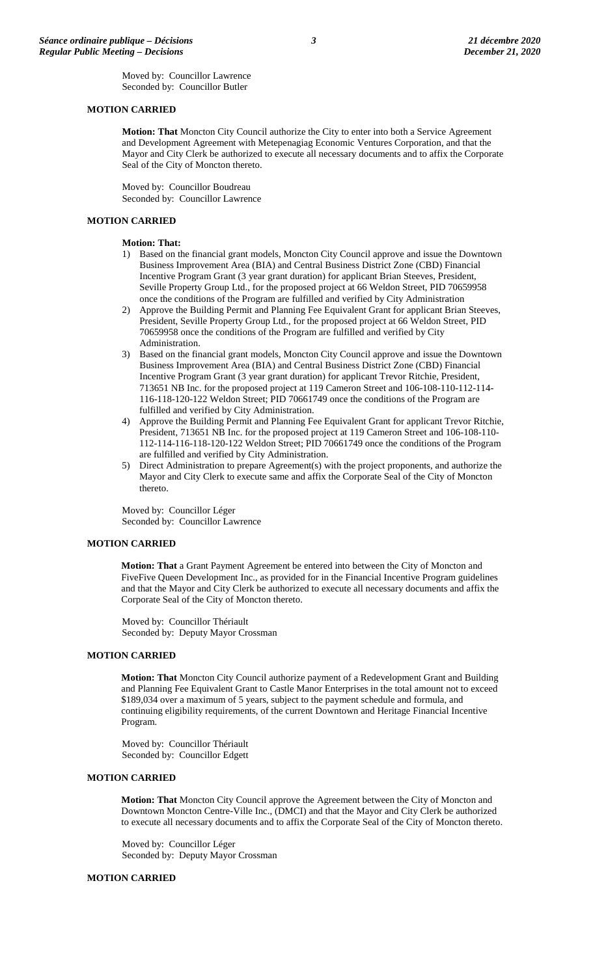Moved by: Councillor Lawrence Seconded by: Councillor Butler

#### **MOTION CARRIED**

**Motion: That** Moncton City Council authorize the City to enter into both a Service Agreement and Development Agreement with Metepenagiag Economic Ventures Corporation, and that the Mayor and City Clerk be authorized to execute all necessary documents and to affix the Corporate Seal of the City of Moncton thereto.

Moved by: Councillor Boudreau Seconded by: Councillor Lawrence

#### **MOTION CARRIED**

#### **Motion: That:**

- 1) Based on the financial grant models, Moncton City Council approve and issue the Downtown Business Improvement Area (BIA) and Central Business District Zone (CBD) Financial Incentive Program Grant (3 year grant duration) for applicant Brian Steeves, President, Seville Property Group Ltd., for the proposed project at 66 Weldon Street, PID 70659958 once the conditions of the Program are fulfilled and verified by City Administration
- 2) Approve the Building Permit and Planning Fee Equivalent Grant for applicant Brian Steeves, President, Seville Property Group Ltd., for the proposed project at 66 Weldon Street, PID 70659958 once the conditions of the Program are fulfilled and verified by City Administration.
- 3) Based on the financial grant models, Moncton City Council approve and issue the Downtown Business Improvement Area (BIA) and Central Business District Zone (CBD) Financial Incentive Program Grant (3 year grant duration) for applicant Trevor Ritchie, President, 713651 NB Inc. for the proposed project at 119 Cameron Street and 106-108-110-112-114- 116-118-120-122 Weldon Street; PID 70661749 once the conditions of the Program are fulfilled and verified by City Administration.
- 4) Approve the Building Permit and Planning Fee Equivalent Grant for applicant Trevor Ritchie, President, 713651 NB Inc. for the proposed project at 119 Cameron Street and 106-108-110- 112-114-116-118-120-122 Weldon Street; PID 70661749 once the conditions of the Program are fulfilled and verified by City Administration.
- 5) Direct Administration to prepare Agreement(s) with the project proponents, and authorize the Mayor and City Clerk to execute same and affix the Corporate Seal of the City of Moncton thereto.

Moved by: Councillor Léger Seconded by: Councillor Lawrence

#### **MOTION CARRIED**

**Motion: That** a Grant Payment Agreement be entered into between the City of Moncton and FiveFive Queen Development Inc., as provided for in the Financial Incentive Program guidelines and that the Mayor and City Clerk be authorized to execute all necessary documents and affix the Corporate Seal of the City of Moncton thereto.

Moved by: Councillor Thériault Seconded by: Deputy Mayor Crossman

#### **MOTION CARRIED**

**Motion: That** Moncton City Council authorize payment of a Redevelopment Grant and Building and Planning Fee Equivalent Grant to Castle Manor Enterprises in the total amount not to exceed \$189,034 over a maximum of 5 years, subject to the payment schedule and formula, and continuing eligibility requirements, of the current Downtown and Heritage Financial Incentive Program.

Moved by: Councillor Thériault Seconded by: Councillor Edgett

#### **MOTION CARRIED**

**Motion: That** Moncton City Council approve the Agreement between the City of Moncton and Downtown Moncton Centre-Ville Inc., (DMCI) and that the Mayor and City Clerk be authorized to execute all necessary documents and to affix the Corporate Seal of the City of Moncton thereto.

Moved by: Councillor Léger Seconded by: Deputy Mayor Crossman

#### **MOTION CARRIED**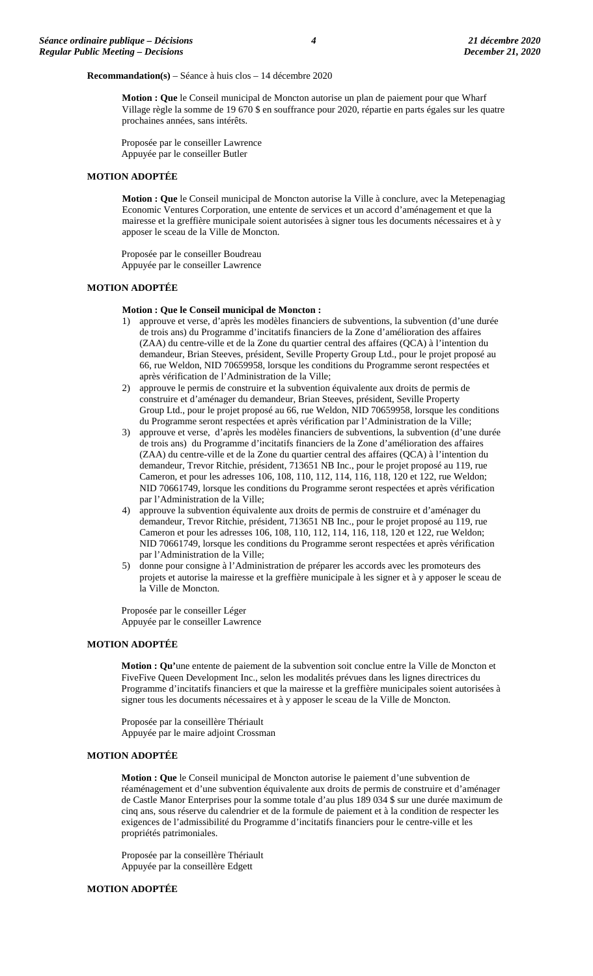#### **Recommandation(s)** – Séance à huis clos – 14 décembre 2020

**Motion : Que** le Conseil municipal de Moncton autorise un plan de paiement pour que Wharf Village règle la somme de 19 670 \$ en souffrance pour 2020, répartie en parts égales sur les quatre prochaines années, sans intérêts.

Proposée par le conseiller Lawrence Appuyée par le conseiller Butler

#### **MOTION ADOPTÉE**

**Motion : Que** le Conseil municipal de Moncton autorise la Ville à conclure, avec la Metepenagiag Economic Ventures Corporation, une entente de services et un accord d'aménagement et que la mairesse et la greffière municipale soient autorisées à signer tous les documents nécessaires et à y apposer le sceau de la Ville de Moncton.

Proposée par le conseiller Boudreau Appuyée par le conseiller Lawrence

#### **MOTION ADOPTÉE**

#### **Motion : Que le Conseil municipal de Moncton :**

- 1) approuve et verse, d'après les modèles financiers de subventions, la subvention (d'une durée de trois ans) du Programme d'incitatifs financiers de la Zone d'amélioration des affaires (ZAA) du centre-ville et de la Zone du quartier central des affaires (QCA) à l'intention du demandeur, Brian Steeves, président, Seville Property Group Ltd., pour le projet proposé au 66, rue Weldon, NID 70659958, lorsque les conditions du Programme seront respectées et après vérification de l'Administration de la Ville;
- 2) approuve le permis de construire et la subvention équivalente aux droits de permis de construire et d'aménager du demandeur, Brian Steeves, président, Seville Property Group Ltd., pour le projet proposé au 66, rue Weldon, NID 70659958, lorsque les conditions du Programme seront respectées et après vérification par l'Administration de la Ville;
- 3) approuve et verse, d'après les modèles financiers de subventions, la subvention (d'une durée de trois ans) du Programme d'incitatifs financiers de la Zone d'amélioration des affaires (ZAA) du centre-ville et de la Zone du quartier central des affaires (QCA) à l'intention du demandeur, Trevor Ritchie, président, 713651 NB Inc., pour le projet proposé au 119, rue Cameron, et pour les adresses 106, 108, 110, 112, 114, 116, 118, 120 et 122, rue Weldon; NID 70661749, lorsque les conditions du Programme seront respectées et après vérification par l'Administration de la Ville;
- 4) approuve la subvention équivalente aux droits de permis de construire et d'aménager du demandeur, Trevor Ritchie, président, 713651 NB Inc., pour le projet proposé au 119, rue Cameron et pour les adresses 106, 108, 110, 112, 114, 116, 118, 120 et 122, rue Weldon; NID 70661749, lorsque les conditions du Programme seront respectées et après vérification par l'Administration de la Ville;
- 5) donne pour consigne à l'Administration de préparer les accords avec les promoteurs des projets et autorise la mairesse et la greffière municipale à les signer et à y apposer le sceau de la Ville de Moncton.

Proposée par le conseiller Léger Appuyée par le conseiller Lawrence

#### **MOTION ADOPTÉE**

**Motion : Qu'**une entente de paiement de la subvention soit conclue entre la Ville de Moncton et FiveFive Queen Development Inc., selon les modalités prévues dans les lignes directrices du Programme d'incitatifs financiers et que la mairesse et la greffière municipales soient autorisées à signer tous les documents nécessaires et à y apposer le sceau de la Ville de Moncton.

Proposée par la conseillère Thériault Appuyée par le maire adjoint Crossman

#### **MOTION ADOPTÉE**

**Motion : Que** le Conseil municipal de Moncton autorise le paiement d'une subvention de réaménagement et d'une subvention équivalente aux droits de permis de construire et d'aménager de Castle Manor Enterprises pour la somme totale d'au plus 189 034 \$ sur une durée maximum de cinq ans, sous réserve du calendrier et de la formule de paiement et à la condition de respecter les exigences de l'admissibilité du Programme d'incitatifs financiers pour le centre-ville et les propriétés patrimoniales.

Proposée par la conseillère Thériault Appuyée par la conseillère Edgett

#### **MOTION ADOPTÉE**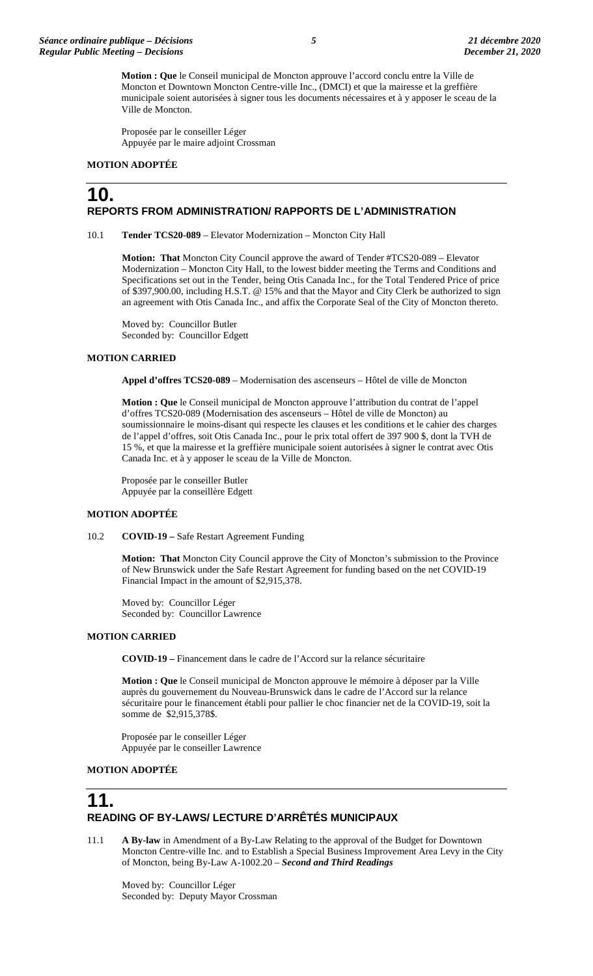**Motion : Que** le Conseil municipal de Moncton approuve l'accord conclu entre la Ville de Moncton et Downtown Moncton Centre-ville Inc., (DMCI) et que la mairesse et la greffière municipale soient autorisées à signer tous les documents nécessaires et à y apposer le sceau de la Ville de Moncton.

Proposée par le conseiller Léger Appuyée par le maire adjoint Crossman

#### **MOTION ADOPTÉE**

### **10. REPORTS FROM ADMINISTRATION/ RAPPORTS DE L'ADMINISTRATION**

10.1 **Tender TCS20-089** – Elevator Modernization – Moncton City Hall

**Motion: That** Moncton City Council approve the award of Tender #TCS20-089 – Elevator Modernization – Moncton City Hall, to the lowest bidder meeting the Terms and Conditions and Specifications set out in the Tender, being Otis Canada Inc., for the Total Tendered Price of price of \$397,900.00, including H.S.T. @ 15% and that the Mayor and City Clerk be authorized to sign an agreement with Otis Canada Inc., and affix the Corporate Seal of the City of Moncton thereto.

Moved by: Councillor Butler Seconded by: Councillor Edgett

#### **MOTION CARRIED**

**Appel d'offres TCS20-089** – Modernisation des ascenseurs – Hôtel de ville de Moncton

**Motion : Que** le Conseil municipal de Moncton approuve l'attribution du contrat de l'appel d'offres TCS20-089 (Modernisation des ascenseurs – Hôtel de ville de Moncton) au soumissionnaire le moins-disant qui respecte les clauses et les conditions et le cahier des charges de l'appel d'offres, soit Otis Canada Inc., pour le prix total offert de 397 900 \$, dont la TVH de 15 %, et que la mairesse et la greffière municipale soient autorisées à signer le contrat avec Otis Canada Inc. et à y apposer le sceau de la Ville de Moncton.

Proposée par le conseiller Butler Appuyée par la conseillère Edgett

#### **MOTION ADOPTÉE**

10.2 **COVID-19 –** Safe Restart Agreement Funding

**Motion: That** Moncton City Council approve the City of Moncton's submission to the Province of New Brunswick under the Safe Restart Agreement for funding based on the net COVID-19 Financial Impact in the amount of \$2,915,378.

Moved by: Councillor Léger Seconded by: Councillor Lawrence

#### **MOTION CARRIED**

**COVID-19 –** Financement dans le cadre de l'Accord sur la relance sécuritaire

**Motion : Que** le Conseil municipal de Moncton approuve le mémoire à déposer par la Ville auprès du gouvernement du Nouveau-Brunswick dans le cadre de l'Accord sur la relance sécuritaire pour le financement établi pour pallier le choc financier net de la COVID-19, soit la somme de \$2,915,378\$.

Proposée par le conseiller Léger Appuyée par le conseiller Lawrence

#### **MOTION ADOPTÉE**

# **11. READING OF BY-LAWS/ LECTURE D'ARRÊTÉS MUNICIPAUX**

11.1 **A By-law** in Amendment of a By-Law Relating to the approval of the Budget for Downtown Moncton Centre-ville Inc. and to Establish a Special Business Improvement Area Levy in the City of Moncton, being By-Law A-1002.20 – *Second and Third Readings* 

Moved by: Councillor Léger Seconded by: Deputy Mayor Crossman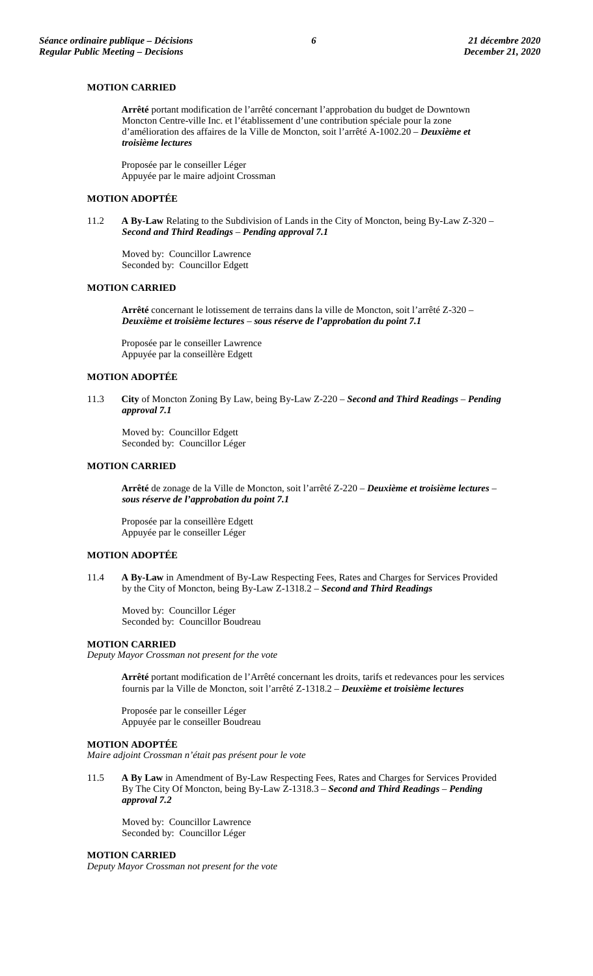#### **MOTION CARRIED**

**Arrêté** portant modification de l'arrêté concernant l'approbation du budget de Downtown Moncton Centre-ville Inc. et l'établissement d'une contribution spéciale pour la zone d'amélioration des affaires de la Ville de Moncton, soit l'arrêté A-1002.20 – *Deuxième et troisième lectures*

Proposée par le conseiller Léger Appuyée par le maire adjoint Crossman

#### **MOTION ADOPTÉE**

11.2 **A By-Law** Relating to the Subdivision of Lands in the City of Moncton, being By-Law Z-320 – *Second and Third Readings* – *Pending approval 7.1*

Moved by: Councillor Lawrence Seconded by: Councillor Edgett

#### **MOTION CARRIED**

**Arrêté** concernant le lotissement de terrains dans la ville de Moncton, soit l'arrêté Z-320 – *Deuxième et troisième lectures* – *sous réserve de l'approbation du point 7.1*

Proposée par le conseiller Lawrence Appuyée par la conseillère Edgett

#### **MOTION ADOPTÉE**

11.3 **City** of Moncton Zoning By Law, being By-Law Z-220 – *Second and Third Readings* – *Pending approval 7.1*

Moved by: Councillor Edgett Seconded by: Councillor Léger

#### **MOTION CARRIED**

**Arrêté** de zonage de la Ville de Moncton, soit l'arrêté Z-220 – *Deuxième et troisième lectures* – *sous réserve de l'approbation du point 7.1*

Proposée par la conseillère Edgett Appuyée par le conseiller Léger

#### **MOTION ADOPTÉE**

11.4 **A By-Law** in Amendment of By-Law Respecting Fees, Rates and Charges for Services Provided by the City of Moncton, being By-Law Z-1318.2 – *Second and Third Readings*

Moved by: Councillor Léger Seconded by: Councillor Boudreau

#### **MOTION CARRIED**

*Deputy Mayor Crossman not present for the vote*

**Arrêté** portant modification de l'Arrêté concernant les droits, tarifs et redevances pour les services fournis par la Ville de Moncton, soit l'arrêté Z-1318.2 – *Deuxième et troisième lectures*

Proposée par le conseiller Léger Appuyée par le conseiller Boudreau

#### **MOTION ADOPTÉE**

*Maire adjoint Crossman n'était pas présent pour le vote*

11.5 **A By Law** in Amendment of By-Law Respecting Fees, Rates and Charges for Services Provided By The City Of Moncton, being By-Law Z-1318.3 – *Second and Third Readings* – *Pending approval 7.2*

Moved by: Councillor Lawrence Seconded by: Councillor Léger

#### **MOTION CARRIED**

*Deputy Mayor Crossman not present for the vote*